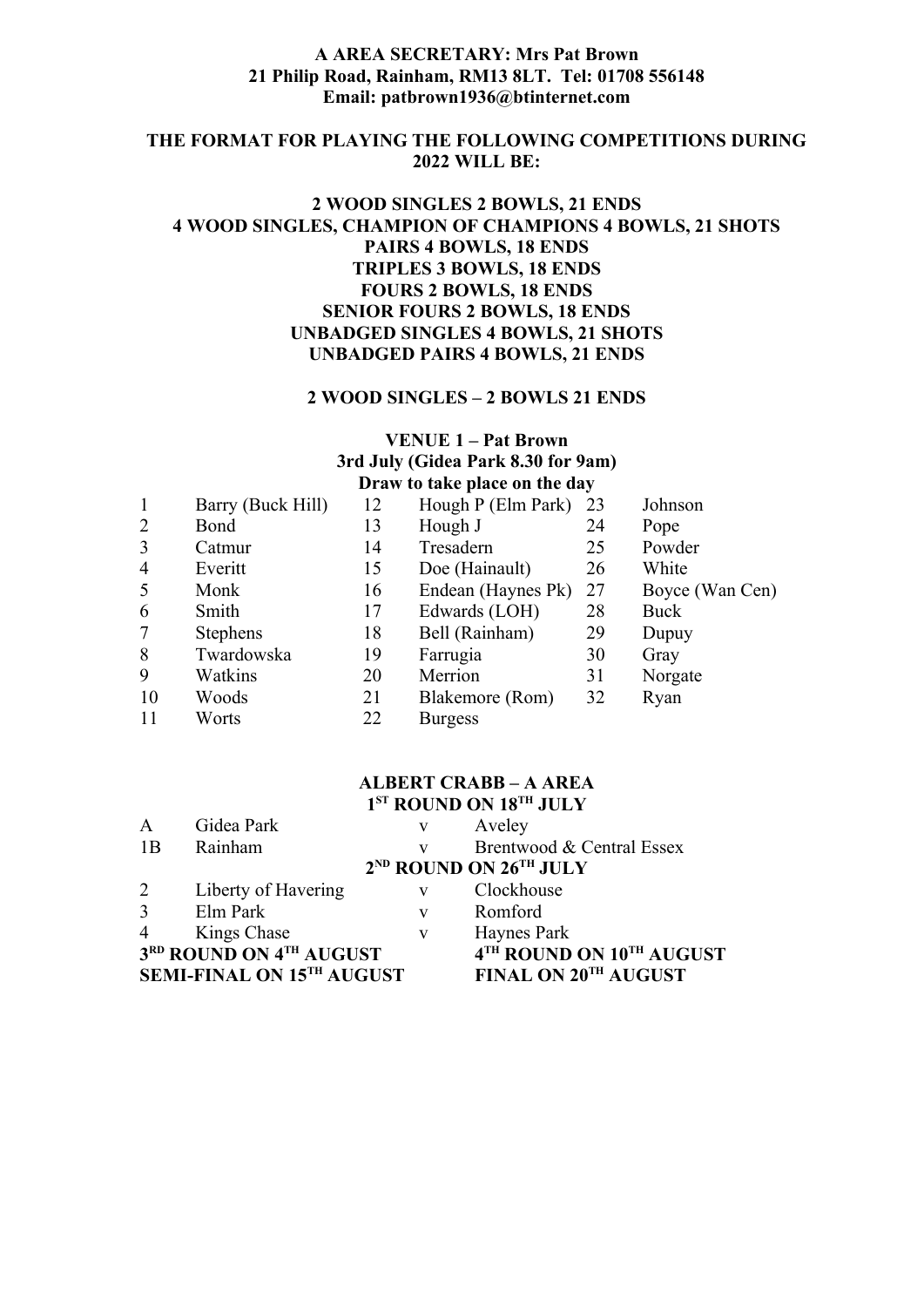## **A AREA SECRETARY: Mrs Pat Brown 21 Philip Road, Rainham, RM13 8LT. Tel: 01708 556148 Email: patbrown1936@btinternet.com**

#### **THE FORMAT FOR PLAYING THE FOLLOWING COMPETITIONS DURING 2022 WILL BE:**

# **2 WOOD SINGLES 2 BOWLS, 21 ENDS 4 WOOD SINGLES, CHAMPION OF CHAMPIONS 4 BOWLS, 21 SHOTS PAIRS 4 BOWLS, 18 ENDS TRIPLES 3 BOWLS, 18 ENDS FOURS 2 BOWLS, 18 ENDS SENIOR FOURS 2 BOWLS, 18 ENDS UNBADGED SINGLES 4 BOWLS, 21 SHOTS UNBADGED PAIRS 4 BOWLS, 21 ENDS**

#### **2 WOOD SINGLES – 2 BOWLS 21 ENDS**

# **VENUE 1 – Pat Brown 3rd July (Gidea Park 8.30 for 9am) Draw to take place on the day**

| $\mathbf{1}$   | Barry (Buck Hill) | 12 | Hough P (Elm Park) | 23 | Johnson         |
|----------------|-------------------|----|--------------------|----|-----------------|
| 2              | Bond              | 13 | Hough J            | 24 | Pope            |
| 3              | Catmur            | 14 | Tresadern          | 25 | Powder          |
| $\overline{4}$ | Everitt           | 15 | Doe (Hainault)     | 26 | White           |
| 5              | Monk              | 16 | Endean (Haynes Pk) | 27 | Boyce (Wan Cen) |
| 6              | Smith             | 17 | Edwards (LOH)      | 28 | Buck            |
| $\overline{7}$ | <b>Stephens</b>   | 18 | Bell (Rainham)     | 29 | Dupuy           |
| 8              | Twardowska        | 19 | Farrugia           | 30 | Gray            |
| 9              | Watkins           | 20 | Merrion            | 31 | Norgate         |
| 10             | Woods             | 21 | Blakemore (Rom)    | 32 | Ryan            |
| 11             | Worts             | 22 | <b>Burgess</b>     |    |                 |

## **ALBERT CRABB – A AREA 1 ST ROUND ON 18TH JULY**

| $\mathbf{A}$   | Gidea Park                       | V | Aveley                                         |
|----------------|----------------------------------|---|------------------------------------------------|
| 1B             | Rainham                          | V | Brentwood & Central Essex                      |
|                |                                  |   | 2 <sup>ND</sup> ROUND ON 26 <sup>TH</sup> JULY |
| $\overline{2}$ | Liberty of Havering              | V | Clockhouse                                     |
| $\overline{3}$ | Elm Park                         | V | Romford                                        |
| $\overline{4}$ | Kings Chase                      | V | Haynes Park                                    |
|                | 3RD ROUND ON 4TH AUGUST          |   | 4TH ROUND ON 10TH AUGUST                       |
|                | <b>SEMI-FINAL ON 15TH AUGUST</b> |   | FINAL ON 20TH AUGUST                           |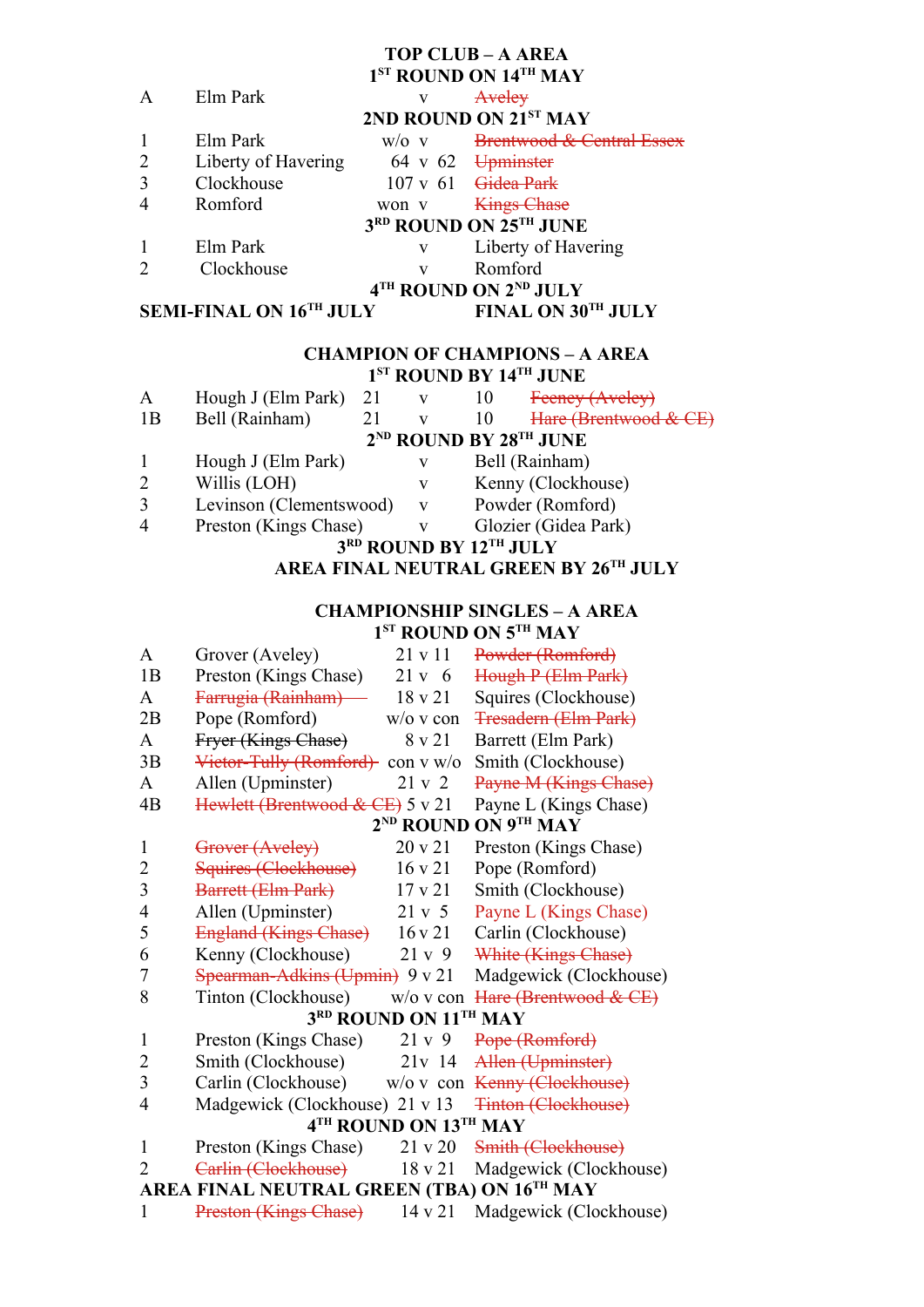# **TOP CLUB – A AREA**

|              |                     |         | 1 <sup>ST</sup> ROUND ON 14 <sup>TH</sup> MAY |
|--------------|---------------------|---------|-----------------------------------------------|
| $\mathsf{A}$ | Elm Park            | v       | Aveley                                        |
|              |                     |         | 2ND ROUND ON 21ST MAY                         |
|              | Elm Park            | $W/O$ V | <b>Brentwood &amp; Central Essex</b>          |
|              | Liberty of Havering |         | $64 \times 62$ Upminster                      |
|              | Clockhouse          |         | $107 \text{ v } 61$ Gidea Park                |
|              | Romford             | won v   | <b>Kings Chase</b>                            |
|              |                     |         | 3RD ROUND ON 25TH JUNE                        |
|              | Elm Park            | V       | Liberty of Havering                           |
|              | Clockhouse          | v       | Romford                                       |
|              |                     |         | 4TH ROUND ON 2ND JULY                         |
|              | $C = T$             |         | <b>EXALLY ONLOOTH YETERL</b>                  |

**SEMI-FINAL ON 16TH JULY FINAL ON 30TH JULY**

#### **CHAMPION OF CHAMPIONS – A AREA 1 ST ROUND BY 14TH JUNE**

| A                                | Hough J (Elm Park)      | 21 |   | 10 | Feeney (Aveley)       |  |  |
|----------------------------------|-------------------------|----|---|----|-----------------------|--|--|
| 1B                               | Bell (Rainham)          | 21 |   | 10 | Hare (Brentwood & CE) |  |  |
| $2^{ND}$ ROUND BY $28^{TH}$ JUNE |                         |    |   |    |                       |  |  |
|                                  | Hough J (Elm Park)      |    | v |    | Bell (Rainham)        |  |  |
| $\overline{2}$                   | Willis (LOH)            |    | v |    | Kenny (Clockhouse)    |  |  |
| 3                                | Levinson (Clementswood) |    | V |    | Powder (Romford)      |  |  |
| $\overline{4}$                   | Preston (Kings Chase)   |    | v |    | Glozier (Gidea Park)  |  |  |
| 3RD ROUND BY 12TH JULY           |                         |    |   |    |                       |  |  |

# **AREA FINAL NEUTRAL GREEN BY 26TH JULY**

# **CHAMPIONSHIP SINGLES – A AREA 1 ST ROUND ON 5TH MAY**

| Grover (Aveley)              | 21 v 11            | Powder (Romford)                                                                                                                                                                                                                                       |
|------------------------------|--------------------|--------------------------------------------------------------------------------------------------------------------------------------------------------------------------------------------------------------------------------------------------------|
| Preston (Kings Chase)        | $21v$ 6            | Hough P (Elm Park)                                                                                                                                                                                                                                     |
| Farrugia (Rainham) -         | 18 v 21            | Squires (Clockhouse)                                                                                                                                                                                                                                   |
| Pope (Romford)               | $w$ /0 v con       | <b>Tresadern (Elm Park)</b>                                                                                                                                                                                                                            |
| Fryer (Kings Chase)          | 8 v 21             | Barrett (Elm Park)                                                                                                                                                                                                                                     |
|                              | $\cos v$ w/o       | Smith (Clockhouse)                                                                                                                                                                                                                                     |
| Allen (Upminster)            | 21 v 2             | Payne M (Kings Chase)                                                                                                                                                                                                                                  |
|                              |                    | Payne L (Kings Chase)                                                                                                                                                                                                                                  |
|                              |                    | 2 <sup>ND</sup> ROUND ON 9TH MAY                                                                                                                                                                                                                       |
| Grover (Aveley)              | 20 v 21            | Preston (Kings Chase)                                                                                                                                                                                                                                  |
| Squires (Clockhouse)         | $16 \times 21$     | Pope (Romford)                                                                                                                                                                                                                                         |
| Barrett (Elm Park)           | 17 y 21            | Smith (Clockhouse)                                                                                                                                                                                                                                     |
| Allen (Upminster)            | 21 v 5             | Payne L (Kings Chase)                                                                                                                                                                                                                                  |
| <b>England (Kings Chase)</b> | 16v21              | Carlin (Clockhouse)                                                                                                                                                                                                                                    |
| Kenny (Clockhouse)           | 21 v 9             | White (Kings Chase)                                                                                                                                                                                                                                    |
|                              |                    | Madgewick (Clockhouse)                                                                                                                                                                                                                                 |
| Tinton (Clockhouse)          | $w/o$ v con        | Hare (Brentwood & CE)                                                                                                                                                                                                                                  |
|                              |                    |                                                                                                                                                                                                                                                        |
| Preston (Kings Chase)        | 21 v 9             | Pope (Romford)                                                                                                                                                                                                                                         |
|                              | $21v$ 14           | <b>Allen</b> (Upminster)                                                                                                                                                                                                                               |
| Carlin (Clockhouse)          | $w/o$ v con        | Kenny (Clockhouse)                                                                                                                                                                                                                                     |
|                              |                    | <b>Tinton (Clockhouse)</b>                                                                                                                                                                                                                             |
|                              |                    |                                                                                                                                                                                                                                                        |
|                              | 21 v 20            | Smith (Clockhouse)                                                                                                                                                                                                                                     |
| Carlin (Clockhouse)          | 18 v 21            | Madgewick (Clockhouse)                                                                                                                                                                                                                                 |
|                              |                    |                                                                                                                                                                                                                                                        |
| <b>Preston (Kings Chase)</b> | 14 v 21            | Madgewick (Clockhouse)                                                                                                                                                                                                                                 |
|                              | Smith (Clockhouse) | Victor-Tully (Romford)<br>Hewlett (Brentwood & CE) 5 v 21<br>Spearman-Adkins (Upmin) 9 v 21<br>3RD ROUND ON 11TH MAY<br>Madgewick (Clockhouse) 21 v 13<br>4TH ROUND ON 13TH MAY<br>Preston (Kings Chase)<br>AREA FINAL NEUTRAL GREEN (TBA) ON 16TH MAY |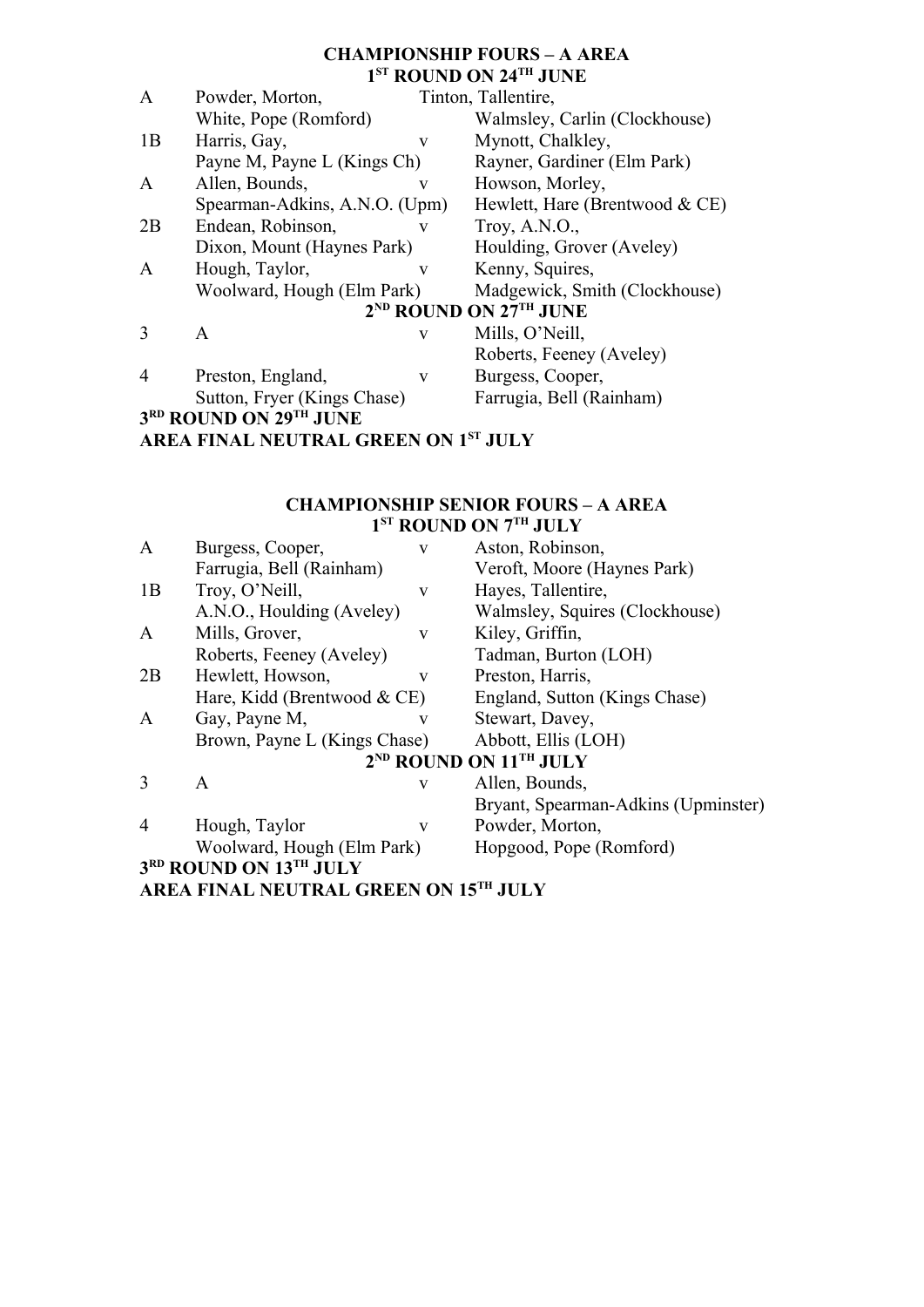# **CHAMPIONSHIP FOURS – A AREA 1 ST ROUND ON 24TH JUNE**

| $\mathbf{A}$  | Powder, Morton,                      |   | Tinton, Tallentire,                |
|---------------|--------------------------------------|---|------------------------------------|
|               | White, Pope (Romford)                |   | Walmsley, Carlin (Clockhouse)      |
| 1B            | Harris, Gay,                         | V | Mynott, Chalkley,                  |
|               | Payne M, Payne L (Kings Ch)          |   | Rayner, Gardiner (Elm Park)        |
| A             | Allen, Bounds,                       | V | Howson, Morley,                    |
|               | Spearman-Adkins, A.N.O. (Upm)        |   | Hewlett, Hare (Brentwood $& CE$ )  |
| 2B            | Endean, Robinson,                    | V | Troy, $A.N.O.,$                    |
|               | Dixon, Mount (Haynes Park)           |   | Houlding, Grover (Aveley)          |
| A             | Hough, Taylor,                       | V | Kenny, Squires,                    |
|               | Woolward, Hough (Elm Park)           |   | Madgewick, Smith (Clockhouse)      |
|               |                                      |   | 2 <sup>ND</sup> ROUND ON 27TH JUNE |
| $\mathcal{E}$ | A                                    | V | Mills, O'Neill,                    |
|               |                                      |   | Roberts, Feeney (Aveley)           |
| 4             | Preston, England,                    | V | Burgess, Cooper,                   |
|               | Sutton, Fryer (Kings Chase)          |   | Farrugia, Bell (Rainham)           |
|               | 3RD ROUND ON 29TH JUNE               |   |                                    |
|               | AREA FINAL NEUTRAL GREEN ON 1ST JULY |   |                                    |

#### **CHAMPIONSHIP SENIOR FOURS – A AREA 1 ST ROUND ON 7TH JULY**

| $\mathbf{A}$ | Burgess, Cooper,                      | $\mathbf{V}$ | Aston, Robinson,                               |
|--------------|---------------------------------------|--------------|------------------------------------------------|
|              | Farrugia, Bell (Rainham)              |              | Veroft, Moore (Haynes Park)                    |
| 1B           | Troy, O'Neill,                        | V            | Hayes, Tallentire,                             |
|              | A.N.O., Houlding (Aveley)             |              | Walmsley, Squires (Clockhouse)                 |
| A            | Mills, Grover,                        | V            | Kiley, Griffin,                                |
|              | Roberts, Feeney (Aveley)              |              | Tadman, Burton (LOH)                           |
| 2B           | Hewlett, Howson,                      | V            | Preston, Harris,                               |
|              | Hare, Kidd (Brentwood $& CE$ )        |              | England, Sutton (Kings Chase)                  |
| A            | Gay, Payne M,                         | V            | Stewart, Davey,                                |
|              | Brown, Payne L (Kings Chase)          |              | Abbott, Ellis (LOH)                            |
|              |                                       |              | 2 <sup>ND</sup> ROUND ON 11 <sup>TH</sup> JULY |
| 3            | A                                     | V            | Allen, Bounds,                                 |
|              |                                       |              | Bryant, Spearman-Adkins (Upminster)            |
| 4            | Hough, Taylor                         | $\mathbf{V}$ | Powder, Morton,                                |
|              | Woolward, Hough (Elm Park)            |              | Hopgood, Pope (Romford)                        |
|              | 3RD ROUND ON 13TH JULY                |              |                                                |
|              | AREA FINAL NEUTRAL GREEN ON 15TH JULY |              |                                                |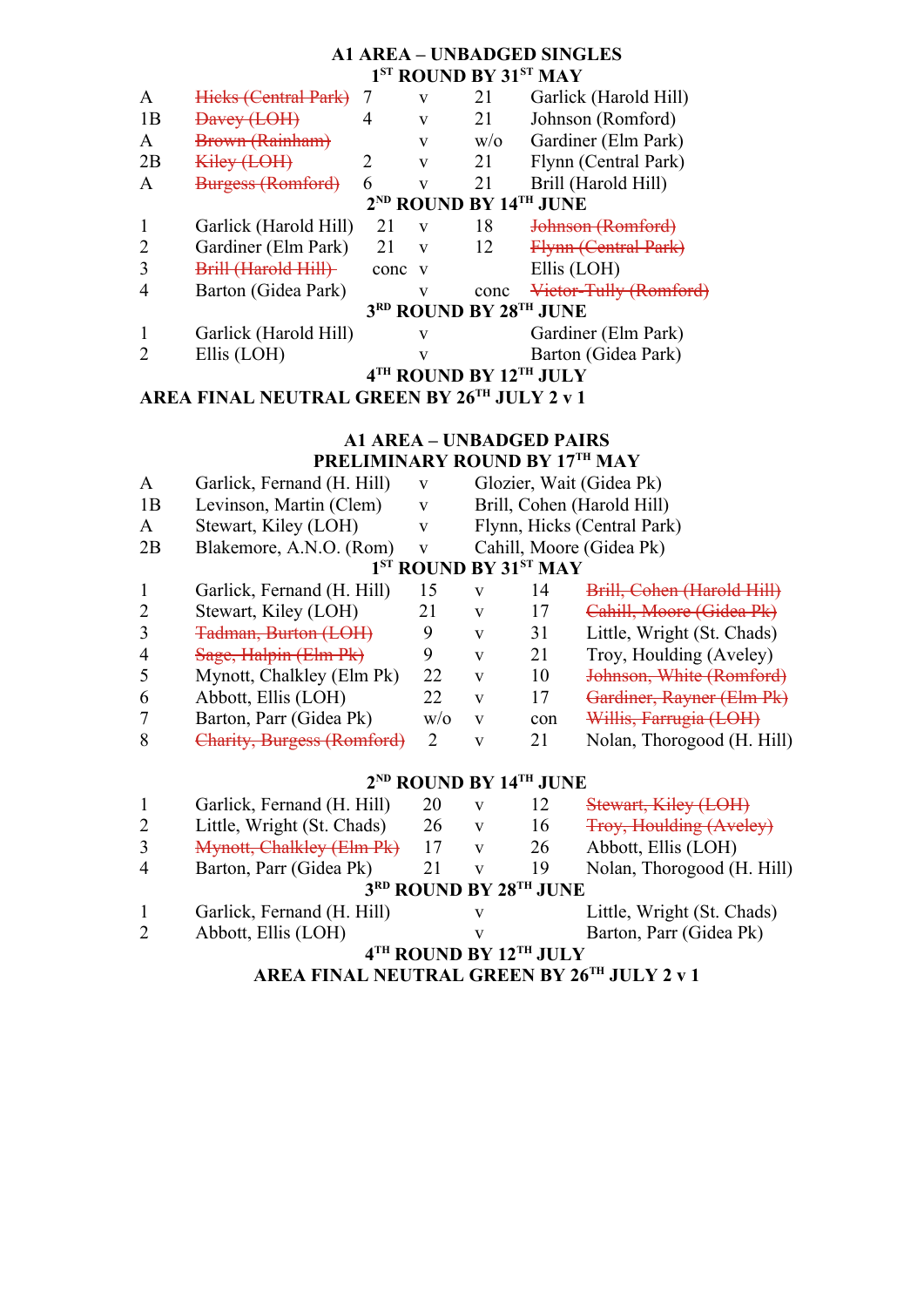# **A1 AREA – UNBADGED SINGLES 1 ST ROUND BY 31ST MAY**

| A  | Hieks (Central Park)                           |      | V            | 21   | Garlick (Harold Hill)  |  |  |  |
|----|------------------------------------------------|------|--------------|------|------------------------|--|--|--|
| 1B | <del>Davey (LOH)</del>                         | 4    | v            | 21   | Johnson (Romford)      |  |  |  |
| A  | <b>Brown (Rainham)</b>                         |      | V            | W/O  | Gardiner (Elm Park)    |  |  |  |
| 2B | <del>Kiley (LOH)</del>                         |      | v            | 21   | Flynn (Central Park)   |  |  |  |
| A  | <b>Burgess (Romford)</b>                       | 6    | V            | 21   | Brill (Harold Hill)    |  |  |  |
|    | 2 <sup>ND</sup> ROUND BY 14 <sup>TH</sup> JUNE |      |              |      |                        |  |  |  |
|    | Garlick (Harold Hill)                          | 21   | V            | 18   | Johnson (Romford)      |  |  |  |
| 2  | Gardiner (Elm Park)                            | 21   | $\mathbf{V}$ | 12   | Flynn (Central Park)   |  |  |  |
|    | Brill (Harold Hill)                            | conc | v            |      | Ellis (LOH)            |  |  |  |
|    | Barton (Gidea Park)                            |      | $\mathbf{V}$ | conc | Victor-Tully (Romford) |  |  |  |
|    |                                                |      |              |      | 3RD ROUND BY 28TH JUNE |  |  |  |
|    | Garlick (Harold Hill)                          |      | v            |      | Gardiner (Elm Park)    |  |  |  |
|    | Ellis (LOH)                                    |      | V            |      | Barton (Gidea Park)    |  |  |  |
|    | 4TH ROUND BY 12TH JULY                         |      |              |      |                        |  |  |  |

**AREA FINAL NEUTRAL GREEN BY 26TH JULY 2 v 1**

#### **A1 AREA – UNBADGED PAIRS PRELIMINARY ROUND BY 17TH MAY**

|                                                                                                                                                                 | LINELLIVILINAIN LINVULNIZ D.L. L/ |              |   |     | $\mathbf{v}$ $\mathbf{A}$ $\mathbf{I}$ |  |  |
|-----------------------------------------------------------------------------------------------------------------------------------------------------------------|-----------------------------------|--------------|---|-----|----------------------------------------|--|--|
| $\mathsf{A}$                                                                                                                                                    | Garlick, Fernand (H. Hill)        | V            |   |     | Glozier, Wait (Gidea Pk)               |  |  |
| 1B                                                                                                                                                              | Levinson, Martin (Clem)           | V            |   |     | Brill, Cohen (Harold Hill)             |  |  |
| A                                                                                                                                                               | Stewart, Kiley (LOH)              | V            |   |     | Flynn, Hicks (Central Park)            |  |  |
| 2B                                                                                                                                                              | Blakemore, A.N.O. (Rom)           | $\mathbf{V}$ |   |     | Cahill, Moore (Gidea Pk)               |  |  |
| 1 <sup>ST</sup> ROUND BY 31 <sup>ST</sup> MAY                                                                                                                   |                                   |              |   |     |                                        |  |  |
|                                                                                                                                                                 | Garlick, Fernand (H. Hill)        | 15           | v | 14  | Brill, Cohen (Harold Hill)             |  |  |
| 2                                                                                                                                                               | Stewart, Kiley (LOH)              | 21           | v | 17  | Cahill, Moore (Gidea Pk)               |  |  |
| 3                                                                                                                                                               | <b>Tadman, Burton (LOH)</b>       | 9            | v | 31  | Little, Wright (St. Chads)             |  |  |
| 4                                                                                                                                                               | Sage, Halpin (Elm Pk)             | 9            | v | 21  | Troy, Houlding (Aveley)                |  |  |
|                                                                                                                                                                 | Mynott, Chalkley (Elm Pk)         | 22           | V | 10  | Johnson, White (Romford)               |  |  |
| 6                                                                                                                                                               | Abbott, Ellis (LOH)               | 22           | v | 17  | Gardiner, Rayner (Elm Pk)              |  |  |
|                                                                                                                                                                 | Barton, Parr (Gidea Pk)           | W/O          | V | con | Willis, Farrugia (LOH)                 |  |  |
| 8                                                                                                                                                               | Charity, Burgess (Romford)        | 2            | v | 21  | Nolan, Thorogood (H. Hill)             |  |  |
| $\mathbf{F}^{\mathbf{A}}$ . The contract of $\mathbf{F}^{\mathbf{A}}$ is the contract of $\mathbf{F}^{\mathbf{A}}$ is the contract of $\mathbf{F}^{\mathbf{A}}$ |                                   |              |   |     |                                        |  |  |

# **2 ND ROUND BY 14TH JUNE**

|                        | Garlick, Fernand (H. Hill)                     | 20 | V | 12 | Stewart, Kiley (LOH)       |  |  |
|------------------------|------------------------------------------------|----|---|----|----------------------------|--|--|
| 2                      | Little, Wright (St. Chads)                     | 26 | v | 16 | Troy, Houlding (Aveley)    |  |  |
| 3                      | Mynott, Chalkley (Elm Pk)                      |    |   | 26 | Abbott, Ellis (LOH)        |  |  |
| $\overline{4}$         | Barton, Parr (Gidea Pk)                        |    |   | 19 | Nolan, Thorogood (H. Hill) |  |  |
|                        | 3 <sup>RD</sup> ROUND BY 28 <sup>TH</sup> JUNE |    |   |    |                            |  |  |
|                        | Garlick, Fernand (H. Hill)                     |    | v |    | Little, Wright (St. Chads) |  |  |
|                        | Abbott, Ellis (LOH)                            |    | V |    | Barton, Parr (Gidea Pk)    |  |  |
| 4TH ROUND BY 12TH JULY |                                                |    |   |    |                            |  |  |

**AREA FINAL NEUTRAL GREEN BY 26TH JULY 2 v 1**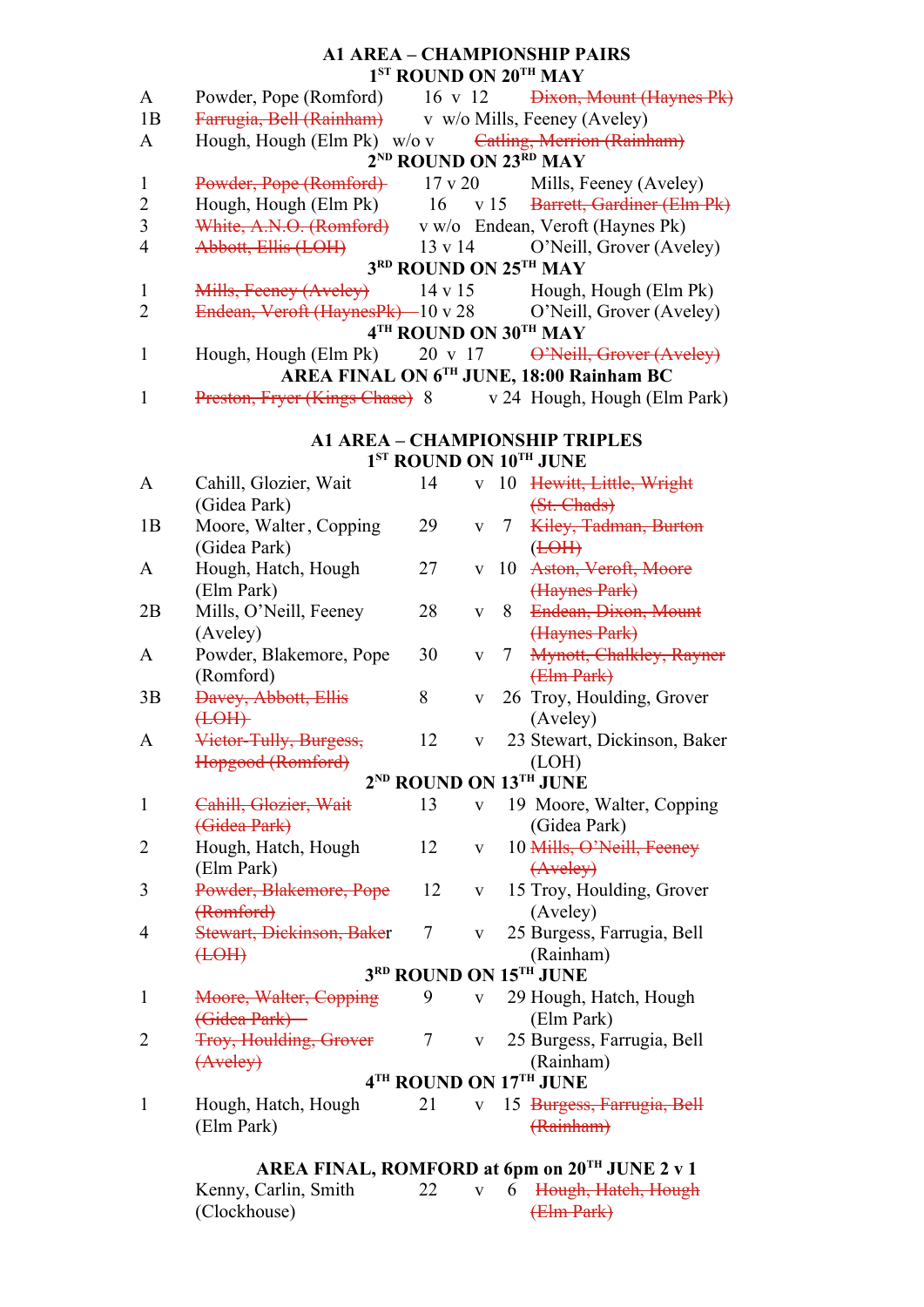# **A1 AREA – CHAMPIONSHIP PAIRS 1 ST ROUND ON 20TH MAY**

| $\mathbf{A}$   | Powder, Pope (Romford) 16 v 12 <del>Dixon, Mount (Haynes Pk)</del>                                                |               |              |   |                                                    |  |  |  |
|----------------|-------------------------------------------------------------------------------------------------------------------|---------------|--------------|---|----------------------------------------------------|--|--|--|
| 1B             | Farrugia, Bell (Rainham) v w/o Mills, Feeney (Aveley)                                                             |               |              |   |                                                    |  |  |  |
| A              | Hough, Hough (Elm Pk) w/o v Catling, Merrion (Rainham)                                                            |               |              |   | 2 <sup>ND</sup> ROUND ON 23 <sup>RD</sup> MAY      |  |  |  |
| $\mathbf{1}$   |                                                                                                                   |               |              |   |                                                    |  |  |  |
| $\overline{2}$ | Powder, Pope (Romford) 17 v 20 Mills, Feeney (Aveley)<br>Hough, Hough (Elm Pk) 16 v 15 Barrett, Gardiner (Elm Pk) |               |              |   |                                                    |  |  |  |
| $\overline{3}$ | White, A.N.O. (Romford) v w/o Endean, Veroft (Haynes Pk)                                                          |               |              |   |                                                    |  |  |  |
| $\overline{4}$ |                                                                                                                   |               |              |   | 13 v 14 O'Neill, Grover (Aveley)                   |  |  |  |
|                | Abbott, Ellis (LOH)                                                                                               |               |              |   | 3RD ROUND ON 25TH MAY                              |  |  |  |
| $\mathbf{1}$   | Mills, Feeney (Aveley) 14 v 15 Hough, Hough (Elm Pk)                                                              |               |              |   |                                                    |  |  |  |
| $\overline{2}$ | Endean, Veroft (HaynesPk) - 10 v 28 O'Neill, Grover (Aveley)                                                      |               |              |   |                                                    |  |  |  |
|                |                                                                                                                   |               |              |   | 4TH ROUND ON 30TH MAY                              |  |  |  |
| $\mathbf{1}$   | Hough, Hough (Elm Pk)                                                                                             |               |              |   | 20 v 17 O'Neill, Grover (Aveley)                   |  |  |  |
|                |                                                                                                                   |               |              |   | AREA FINAL ON 6TH JUNE, 18:00 Rainham BC           |  |  |  |
| $\mathbf{1}$   | Preston, Fryer (Kings Chase) 8 v 24 Hough, Hough (Elm Park)                                                       |               |              |   |                                                    |  |  |  |
|                |                                                                                                                   |               |              |   | <b>A1 AREA - CHAMPIONSHIP TRIPLES</b>              |  |  |  |
|                | 1 <sup>ST</sup> ROUND ON 10 <sup>TH</sup> JUNE                                                                    |               |              |   |                                                    |  |  |  |
| A              | Cahill, Glozier, Wait                                                                                             | 14            |              |   | v 10 Hewitt, Little, Wright                        |  |  |  |
|                | (Gidea Park)                                                                                                      |               |              |   | (St. Chads)                                        |  |  |  |
| 1B             | Moore, Walter, Copping                                                                                            | 29            |              |   | v 7 Kiley, Tadman, Burton                          |  |  |  |
|                | (Gidea Park)                                                                                                      |               |              |   | ( <b>LOH</b> )                                     |  |  |  |
| A              | Hough, Hatch, Hough                                                                                               | 27            |              |   | v 10 Aston, Veroft, Moore                          |  |  |  |
|                | (Elm Park)                                                                                                        |               |              |   | (Haynes Park)                                      |  |  |  |
| 2B             | Mills, O'Neill, Feeney                                                                                            | 28            | $\mathbf{V}$ | 8 | Endean, Dixon, Mount                               |  |  |  |
| A              | (Aveley)                                                                                                          | 30            |              |   | (Haynes Park)                                      |  |  |  |
|                | Powder, Blakemore, Pope<br>(Romford)                                                                              |               | $\mathbf V$  |   | 7 Mynott, Chalkley, Rayner<br>$(Hm$ Park $)$       |  |  |  |
| 3B             | <b>Davey, Abbott, Ellis</b>                                                                                       | 8             | $\mathbf{V}$ |   | 26 Troy, Houlding, Grover                          |  |  |  |
|                | H <sub>0</sub>                                                                                                    |               |              |   | (Aveley)                                           |  |  |  |
| $\mathbf{A}$   | Victor-Tully, Burgess,                                                                                            | 12            | $\mathbf{V}$ |   | 23 Stewart, Dickinson, Baker                       |  |  |  |
|                | Hopgood (Romford)                                                                                                 |               |              |   | (LOH)                                              |  |  |  |
|                |                                                                                                                   |               |              |   | $2^{\rm ND}$ ROUND ON $13^{\rm TH}$ JUNE           |  |  |  |
| $\mathbf{1}$   | Cahill, Glozier, Wait                                                                                             | 13            | $\mathbf{V}$ |   | 19 Moore, Walter, Copping                          |  |  |  |
|                | (Gidea Park)                                                                                                      |               |              |   | (Gidea Park)                                       |  |  |  |
| 2              | Hough, Hatch, Hough<br>(Elm Park)                                                                                 | 12            | V            |   | 10 Mills, O'Neill, Feeney<br>(Aveley)              |  |  |  |
| 3              | Powder, Blakemore, Pope                                                                                           | 12            | V            |   | 15 Troy, Houlding, Grover                          |  |  |  |
|                | (Romford)                                                                                                         |               |              |   | (Aveley)                                           |  |  |  |
| 4              | Stewart, Dickinson, Baker                                                                                         | 7             | V            |   | 25 Burgess, Farrugia, Bell                         |  |  |  |
|                | H <sub>0</sub>                                                                                                    |               |              |   | (Rainham)                                          |  |  |  |
|                |                                                                                                                   |               |              |   | 3RD ROUND ON 15TH JUNE                             |  |  |  |
| $\mathbf{1}$   | Moore, Walter, Copping                                                                                            | 9             | $\mathbf{V}$ |   | 29 Hough, Hatch, Hough                             |  |  |  |
|                | (Gidea Park)                                                                                                      |               |              |   | (Elm Park)                                         |  |  |  |
| 2              | <b>Troy, Houlding, Grover</b>                                                                                     | 7             | V            |   | 25 Burgess, Farrugia, Bell                         |  |  |  |
|                | $(A$ veley $)$                                                                                                    |               |              |   | (Rainham)                                          |  |  |  |
|                |                                                                                                                   |               |              |   | 4TH ROUND ON 17TH JUNE                             |  |  |  |
| $\mathbf{1}$   | Hough, Hatch, Hough                                                                                               | 21            | $\mathbf{V}$ |   | 15 Burgess, Farrugia, Bell                         |  |  |  |
|                | (Elm Park)                                                                                                        |               |              |   | (Rainham)                                          |  |  |  |
|                |                                                                                                                   |               |              |   | AREA FINAL, ROMFORD at 6pm on $20^{TH}$ JUNE 2 v 1 |  |  |  |
|                | $V_{\text{conv}}$ Corlin Smith                                                                                    | $\mathcal{D}$ |              | C | Hough Hotch Hough                                  |  |  |  |

Kenny, Carlin, Smith 22 v 6 Hough, Hatch, Hough (Clockhouse) (Elm Park)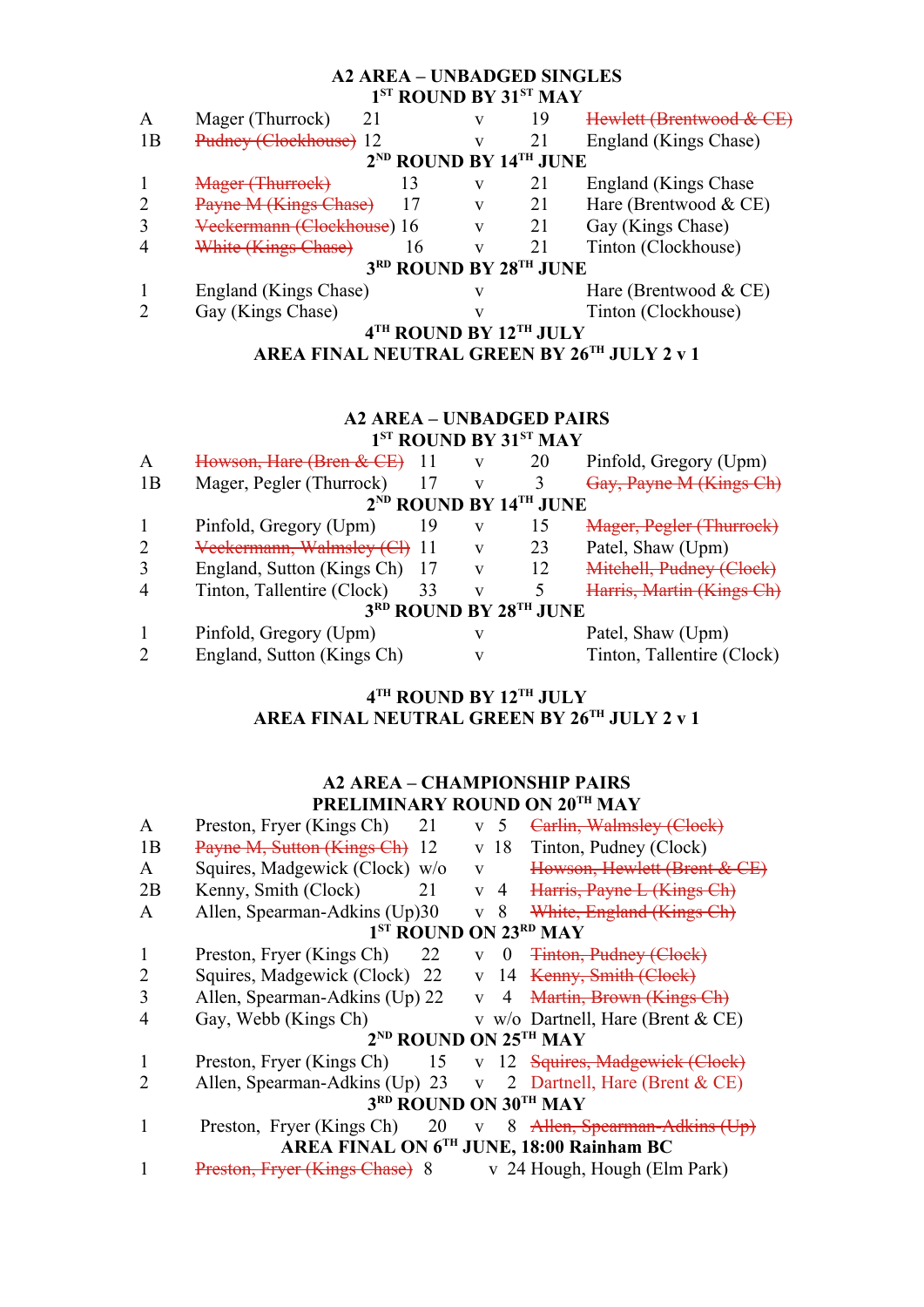#### **A2 AREA – UNBADGED SINGLES 1 ST ROUND BY 31ST MAY**

| A                                           | Mager (Thurrock)<br>21                 |                                                | V | 19 | Hewlett (Brentwood & CE) |  |
|---------------------------------------------|----------------------------------------|------------------------------------------------|---|----|--------------------------|--|
| 1B                                          | Pudney (Clockhouse) 12                 |                                                | v |    | England (Kings Chase)    |  |
|                                             |                                        | 2 <sup>ND</sup> ROUND BY 14 <sup>TH</sup> JUNE |   |    |                          |  |
|                                             | Mager (Thurrock)                       | 13                                             | v | 21 | England (Kings Chase)    |  |
| 2                                           | Payne M (Kings Chase)                  |                                                | V | 21 | Hare (Brentwood $& CE$ ) |  |
|                                             | <del>Veekermann (Cloekhouse</del> ) 16 |                                                | V |    | Gay (Kings Chase)        |  |
| $\overline{4}$                              | White (Kings Chase)                    | 16                                             | V |    | Tinton (Clockhouse)      |  |
|                                             |                                        | 3RD ROUND BY 28TH JUNE                         |   |    |                          |  |
|                                             | England (Kings Chase)                  |                                                |   |    | Hare (Brentwood $& CE$ ) |  |
|                                             | Gay (Kings Chase)                      |                                                |   |    | Tinton (Clockhouse)      |  |
| 4TH ROUND BY 12TH JULY                      |                                        |                                                |   |    |                          |  |
| AREA FINAL NEUTRAL GREEN BY 26TH JULY 2 v 1 |                                        |                                                |   |    |                          |  |

# **A2 AREA – UNBADGED PAIRS 1 ST ROUND BY 31ST MAY**

| Howson, Hare (Bren & CE)   |    | v                         | 20 | Pinfold, Gregory (Upm)           |  |  |  |
|----------------------------|----|---------------------------|----|----------------------------------|--|--|--|
| Mager, Pegler (Thurrock)   |    | V                         |    | Gay, Payne M (Kings Ch)          |  |  |  |
|                            |    |                           |    |                                  |  |  |  |
| Pinfold, Gregory (Upm)     | 19 | V                         | 15 | Mager, Pegler (Thurrock)         |  |  |  |
|                            |    | v                         | 23 | Patel, Shaw (Upm)                |  |  |  |
| England, Sutton (Kings Ch) |    | v                         | 12 | Mitchell, Pudney (Clock)         |  |  |  |
| Tinton, Tallentire (Clock) | 33 | v                         |    | Harris, Martin (Kings Ch)        |  |  |  |
| 3RD ROUND BY 28TH JUNE     |    |                           |    |                                  |  |  |  |
| Pinfold, Gregory (Upm)     |    | V                         |    | Patel, Shaw (Upm)                |  |  |  |
| England, Sutton (Kings Ch) |    | v                         |    | Tinton, Tallentire (Clock)       |  |  |  |
|                            |    | Veekermann, Walmsley (Cl) |    | $2^{ND}$ ROUND BY $14^{TH}$ JUNE |  |  |  |

# **4 TH ROUND BY 12TH JULY AREA FINAL NEUTRAL GREEN BY 26TH JULY 2 v 1**

## **A2 AREA – CHAMPIONSHIP PAIRS PRELIMINARY ROUND ON 20TH MAY**

| A                                             | Preston, Fryer (Kings Ch)<br>21   | v 5                  | Carlin, Walmsley (Clock)             |  |  |  |  |
|-----------------------------------------------|-----------------------------------|----------------------|--------------------------------------|--|--|--|--|
| 1B                                            | Payne M, Sutton (Kings Ch)<br>-12 | v 18                 | Tinton, Pudney (Clock)               |  |  |  |  |
| A                                             | Squires, Madgewick (Clock) w/o    | V                    | Howson, Hewlett (Brent & CE)         |  |  |  |  |
| 2B                                            | Kenny, Smith (Clock)<br>21        | v 4                  | Harris, Payne L (Kings Ch)           |  |  |  |  |
| A                                             | Allen, Spearman-Adkins (Up)30     | 8<br>V               | White, England (Kings Ch)            |  |  |  |  |
| 1 <sup>ST</sup> ROUND ON 23RD MAY             |                                   |                      |                                      |  |  |  |  |
|                                               | Preston, Fryer (Kings Ch)<br>22   | $\theta$<br>V        | <b>Tinton, Pudney (Clock)</b>        |  |  |  |  |
| 2                                             | Squires, Madgewick (Clock) 22     | $\mathbf{V}$<br>- 14 | Kenny, Smith (Clock)                 |  |  |  |  |
| 3                                             | Allen, Spearman-Adkins (Up) 22    | 4<br>V               | Martin, Brown (Kings Ch)             |  |  |  |  |
| 4                                             | Gay, Webb (Kings Ch)              |                      | v w/o Dartnell, Hare (Brent $& CE$ ) |  |  |  |  |
| 2 <sup>ND</sup> ROUND ON 25 <sup>TH</sup> MAY |                                   |                      |                                      |  |  |  |  |
|                                               | Preston, Fryer (Kings Ch) 15      |                      | v 12 Squires, Madgewick (Clock)      |  |  |  |  |
| 2                                             | Allen, Spearman-Adkins (Up) 23    | $\mathbf{V}$         | 2 Dartnell, Hare (Brent $& CE$ )     |  |  |  |  |
| 3 <sup>RD</sup> ROUND ON 30 <sup>TH</sup> MAY |                                   |                      |                                      |  |  |  |  |
|                                               | Preston, Fryer (Kings Ch) 20      |                      | v 8 Allen, Spearman-Adkins (Up)      |  |  |  |  |
| AREA FINAL ON 6TH JUNE, 18:00 Rainham BC      |                                   |                      |                                      |  |  |  |  |
|                                               | Preston, Fryer (Kings Chase) 8    |                      | v 24 Hough, Hough (Elm Park)         |  |  |  |  |